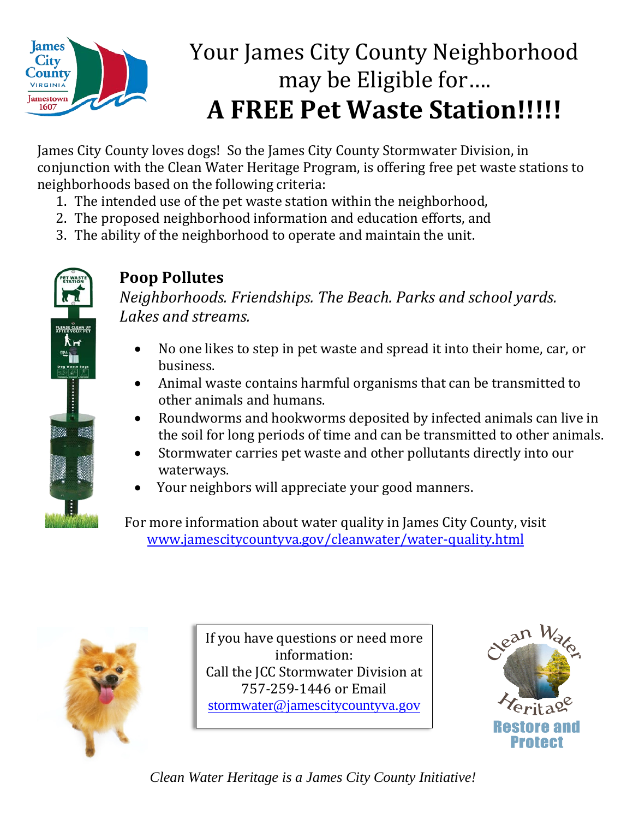

## Your James City County Neighborhood may be Eligible for…. **A FREE Pet Waste Station!!!!!**

James City County loves dogs! So the James City County Stormwater Division, in conjunction with the Clean Water Heritage Program, is offering free pet waste stations to neighborhoods based on the following criteria:

- 1. The intended use of the pet waste station within the neighborhood,
- 2. The proposed neighborhood information and education efforts, and
- 3. The ability of the neighborhood to operate and maintain the unit.



## **Poop Pollutes**

*Neighborhoods. Friendships. The Beach. Parks and school yards. Lakes and streams.*

- No one likes to step in pet waste and spread it into their home, car, or business.
- Animal waste contains harmful organisms that can be transmitted to other animals and humans.
- Roundworms and hookworms deposited by infected animals can live in the soil for long periods of time and can be transmitted to other animals.
- Stormwater carries pet waste and other pollutants directly into our waterways.
- Your neighbors will appreciate your good manners.

For more information about water quality in James City County, visit [www.jamescitycountyva.gov/cleanwater/water-quality.html](http://www.jamescitycountyva.gov/Admin/DocumentCenter/Document/View/2773)



If you have questions or need more information: Call the JCC Stormwater Division at 757-259-1446 or Email [stormwater@jamescitycountyva.gov](mailto:stormwater@jamescitycountyva.gov)



*Clean Water Heritage is a James City County Initiative!*